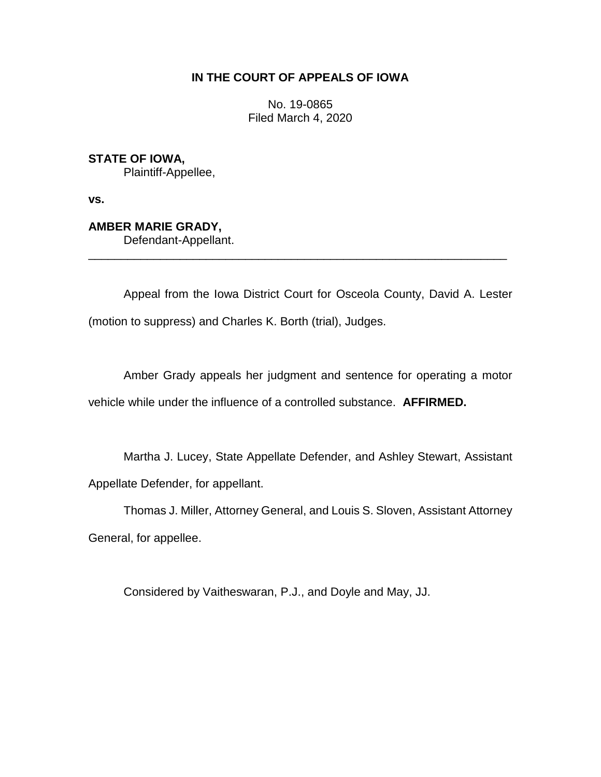## **IN THE COURT OF APPEALS OF IOWA**

No. 19-0865 Filed March 4, 2020

**STATE OF IOWA,** Plaintiff-Appellee,

**vs.**

**AMBER MARIE GRADY,** Defendant-Appellant.

Appeal from the Iowa District Court for Osceola County, David A. Lester (motion to suppress) and Charles K. Borth (trial), Judges.

\_\_\_\_\_\_\_\_\_\_\_\_\_\_\_\_\_\_\_\_\_\_\_\_\_\_\_\_\_\_\_\_\_\_\_\_\_\_\_\_\_\_\_\_\_\_\_\_\_\_\_\_\_\_\_\_\_\_\_\_\_\_\_\_

Amber Grady appeals her judgment and sentence for operating a motor vehicle while under the influence of a controlled substance. **AFFIRMED.**

Martha J. Lucey, State Appellate Defender, and Ashley Stewart, Assistant Appellate Defender, for appellant.

Thomas J. Miller, Attorney General, and Louis S. Sloven, Assistant Attorney General, for appellee.

Considered by Vaitheswaran, P.J., and Doyle and May, JJ.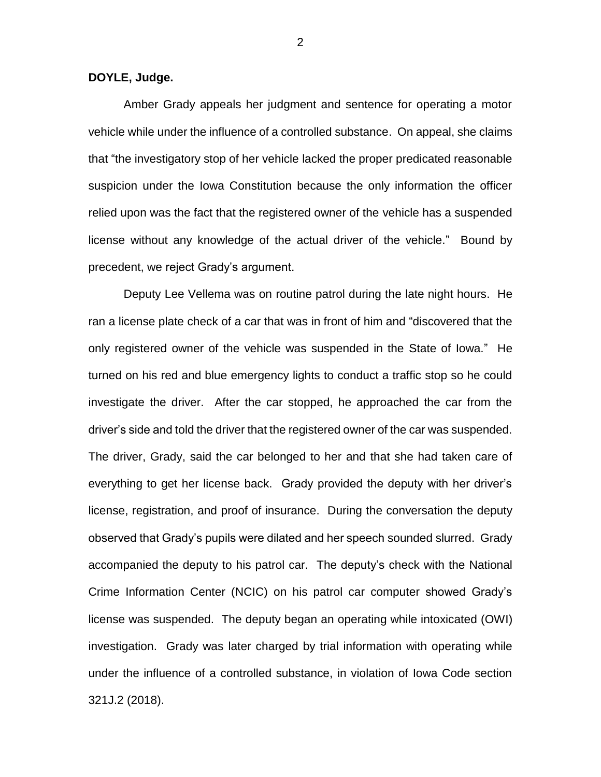**DOYLE, Judge.**

Amber Grady appeals her judgment and sentence for operating a motor vehicle while under the influence of a controlled substance. On appeal, she claims that "the investigatory stop of her vehicle lacked the proper predicated reasonable suspicion under the Iowa Constitution because the only information the officer relied upon was the fact that the registered owner of the vehicle has a suspended license without any knowledge of the actual driver of the vehicle." Bound by precedent, we reject Grady's argument.

Deputy Lee Vellema was on routine patrol during the late night hours. He ran a license plate check of a car that was in front of him and "discovered that the only registered owner of the vehicle was suspended in the State of Iowa." He turned on his red and blue emergency lights to conduct a traffic stop so he could investigate the driver. After the car stopped, he approached the car from the driver's side and told the driver that the registered owner of the car was suspended. The driver, Grady, said the car belonged to her and that she had taken care of everything to get her license back. Grady provided the deputy with her driver's license, registration, and proof of insurance. During the conversation the deputy observed that Grady's pupils were dilated and her speech sounded slurred. Grady accompanied the deputy to his patrol car. The deputy's check with the National Crime Information Center (NCIC) on his patrol car computer showed Grady's license was suspended. The deputy began an operating while intoxicated (OWI) investigation. Grady was later charged by trial information with operating while under the influence of a controlled substance, in violation of Iowa Code section 321J.2 (2018).

2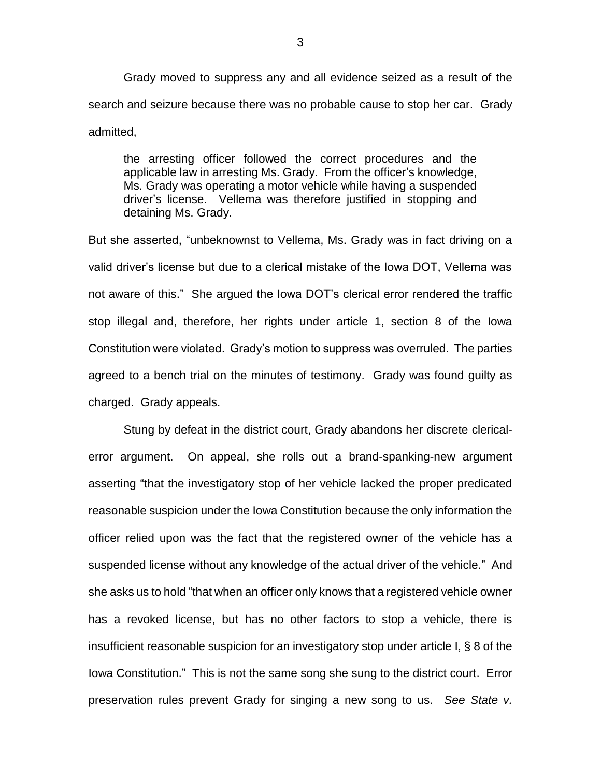Grady moved to suppress any and all evidence seized as a result of the search and seizure because there was no probable cause to stop her car. Grady admitted,

the arresting officer followed the correct procedures and the applicable law in arresting Ms. Grady. From the officer's knowledge, Ms. Grady was operating a motor vehicle while having a suspended driver's license. Vellema was therefore justified in stopping and detaining Ms. Grady.

But she asserted, "unbeknownst to Vellema, Ms. Grady was in fact driving on a valid driver's license but due to a clerical mistake of the Iowa DOT, Vellema was not aware of this." She argued the Iowa DOT's clerical error rendered the traffic stop illegal and, therefore, her rights under article 1, section 8 of the Iowa Constitution were violated. Grady's motion to suppress was overruled. The parties agreed to a bench trial on the minutes of testimony. Grady was found guilty as charged. Grady appeals.

Stung by defeat in the district court, Grady abandons her discrete clericalerror argument. On appeal, she rolls out a brand-spanking-new argument asserting "that the investigatory stop of her vehicle lacked the proper predicated reasonable suspicion under the Iowa Constitution because the only information the officer relied upon was the fact that the registered owner of the vehicle has a suspended license without any knowledge of the actual driver of the vehicle." And she asks us to hold "that when an officer only knows that a registered vehicle owner has a revoked license, but has no other factors to stop a vehicle, there is insufficient reasonable suspicion for an investigatory stop under article I, § 8 of the Iowa Constitution." This is not the same song she sung to the district court. Error preservation rules prevent Grady for singing a new song to us. *See State v.*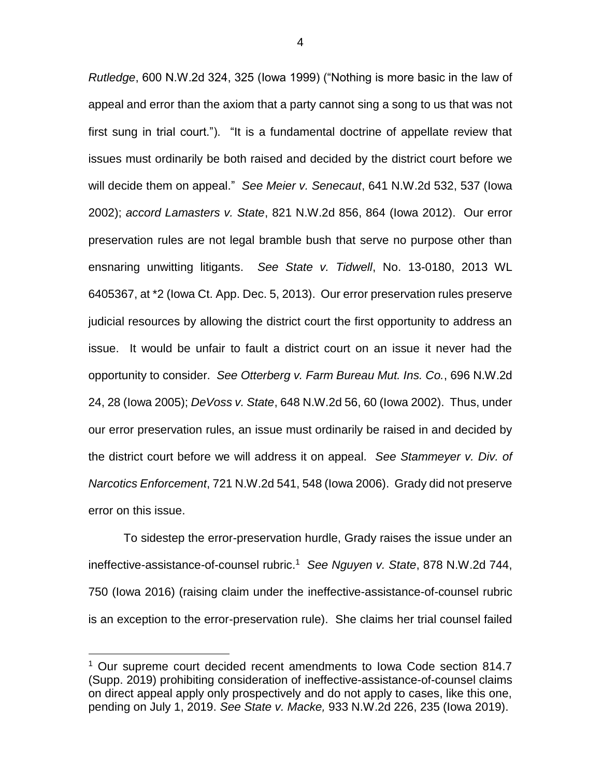*Rutledge*, 600 N.W.2d 324, 325 (Iowa 1999) ("Nothing is more basic in the law of appeal and error than the axiom that a party cannot sing a song to us that was not first sung in trial court."). "It is a fundamental doctrine of appellate review that issues must ordinarily be both raised and decided by the district court before we will decide them on appeal." *See Meier v. Senecaut*, 641 N.W.2d 532, 537 (Iowa 2002); *accord Lamasters v. State*, 821 N.W.2d 856, 864 (Iowa 2012). Our error preservation rules are not legal bramble bush that serve no purpose other than ensnaring unwitting litigants. *See State v. Tidwell*, No. 13-0180, 2013 WL 6405367, at \*2 (Iowa Ct. App. Dec. 5, 2013). Our error preservation rules preserve judicial resources by allowing the district court the first opportunity to address an issue. It would be unfair to fault a district court on an issue it never had the opportunity to consider. *See Otterberg v. Farm Bureau Mut. Ins. Co.*, 696 N.W.2d 24, 28 (Iowa 2005); *DeVoss v. State*, 648 N.W.2d 56, 60 (Iowa 2002). Thus, under our error preservation rules, an issue must ordinarily be raised in and decided by the district court before we will address it on appeal. *See Stammeyer v. Div. of Narcotics Enforcement*, 721 N.W.2d 541, 548 (Iowa 2006). Grady did not preserve error on this issue.

To sidestep the error-preservation hurdle, Grady raises the issue under an ineffective-assistance-of-counsel rubric.<sup>1</sup> *See Nguyen v. State*, 878 N.W.2d 744, 750 (Iowa 2016) (raising claim under the ineffective-assistance-of-counsel rubric is an exception to the error-preservation rule). She claims her trial counsel failed

 $\overline{a}$ 

<sup>&</sup>lt;sup>1</sup> Our supreme court decided recent amendments to Iowa Code section 814.7 (Supp. 2019) prohibiting consideration of ineffective-assistance-of-counsel claims on direct appeal apply only prospectively and do not apply to cases, like this one, pending on July 1, 2019. *See State v. Macke,* 933 N.W.2d 226, 235 (Iowa 2019).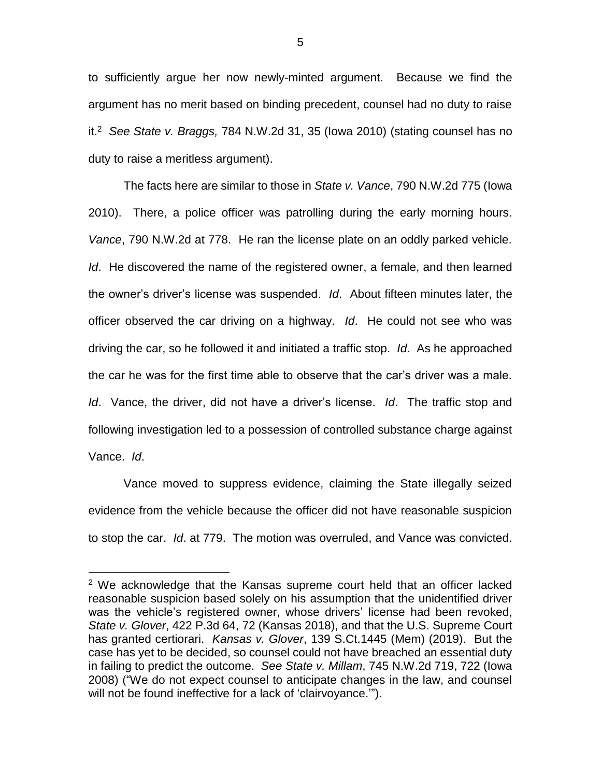to sufficiently argue her now newly-minted argument. Because we find the argument has no merit based on binding precedent, counsel had no duty to raise it.<sup>2</sup> *See State v. Braggs,* 784 N.W.2d 31, 35 (Iowa 2010) (stating counsel has no duty to raise a meritless argument).

The facts here are similar to those in *State v. Vance*, 790 N.W.2d 775 (Iowa 2010). There, a police officer was patrolling during the early morning hours. *Vance*, 790 N.W.2d at 778. He ran the license plate on an oddly parked vehicle. *Id*. He discovered the name of the registered owner, a female, and then learned the owner's driver's license was suspended. *Id*. About fifteen minutes later, the officer observed the car driving on a highway. *Id*. He could not see who was driving the car, so he followed it and initiated a traffic stop. *Id*. As he approached the car he was for the first time able to observe that the car's driver was a male. *Id*. Vance, the driver, did not have a driver's license. *Id*. The traffic stop and following investigation led to a possession of controlled substance charge against Vance. *Id*.

Vance moved to suppress evidence, claiming the State illegally seized evidence from the vehicle because the officer did not have reasonable suspicion to stop the car. *Id*. at 779. The motion was overruled, and Vance was convicted.

 $\overline{a}$ 

<sup>2</sup> We acknowledge that the Kansas supreme court held that an officer lacked reasonable suspicion based solely on his assumption that the unidentified driver was the vehicle's registered owner, whose drivers' license had been revoked, *State v. Glover*, 422 P.3d 64, 72 (Kansas 2018), and that the U.S. Supreme Court has granted certiorari. *Kansas v. Glover*, 139 S.Ct.1445 (Mem) (2019). But the case has yet to be decided, so counsel could not have breached an essential duty in failing to predict the outcome. *See State v. Millam*, 745 N.W.2d 719, 722 (Iowa 2008) ("We do not expect counsel to anticipate changes in the law, and counsel will not be found ineffective for a lack of 'clairvoyance.'").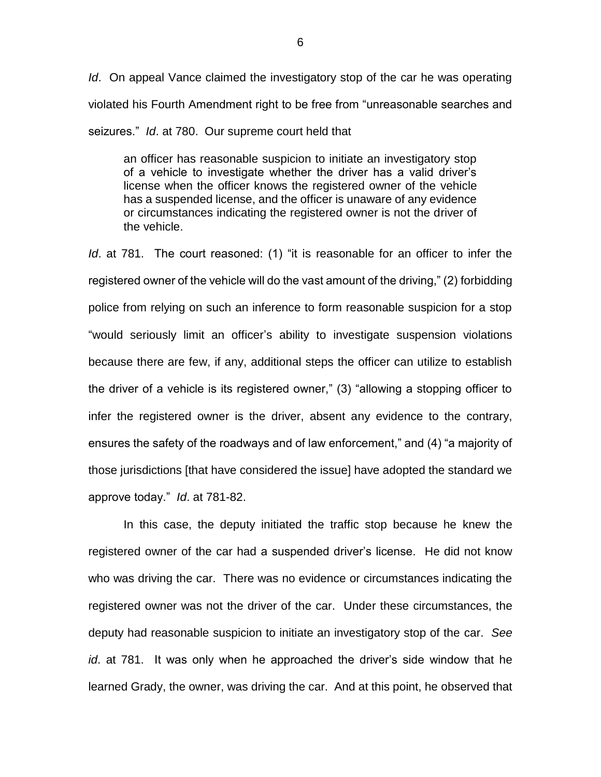*Id*. On appeal Vance claimed the investigatory stop of the car he was operating violated his Fourth Amendment right to be free from "unreasonable searches and seizures." *Id*. at 780. Our supreme court held that

an officer has reasonable suspicion to initiate an investigatory stop of a vehicle to investigate whether the driver has a valid driver's license when the officer knows the registered owner of the vehicle has a suspended license, and the officer is unaware of any evidence or circumstances indicating the registered owner is not the driver of the vehicle.

*Id*. at 781. The court reasoned: (1) "it is reasonable for an officer to infer the registered owner of the vehicle will do the vast amount of the driving," (2) forbidding police from relying on such an inference to form reasonable suspicion for a stop "would seriously limit an officer's ability to investigate suspension violations because there are few, if any, additional steps the officer can utilize to establish the driver of a vehicle is its registered owner," (3) "allowing a stopping officer to infer the registered owner is the driver, absent any evidence to the contrary, ensures the safety of the roadways and of law enforcement," and (4) "a majority of those jurisdictions [that have considered the issue] have adopted the standard we approve today." *Id*. at 781-82.

In this case, the deputy initiated the traffic stop because he knew the registered owner of the car had a suspended driver's license. He did not know who was driving the car. There was no evidence or circumstances indicating the registered owner was not the driver of the car. Under these circumstances, the deputy had reasonable suspicion to initiate an investigatory stop of the car. *See id*. at 781. It was only when he approached the driver's side window that he learned Grady, the owner, was driving the car. And at this point, he observed that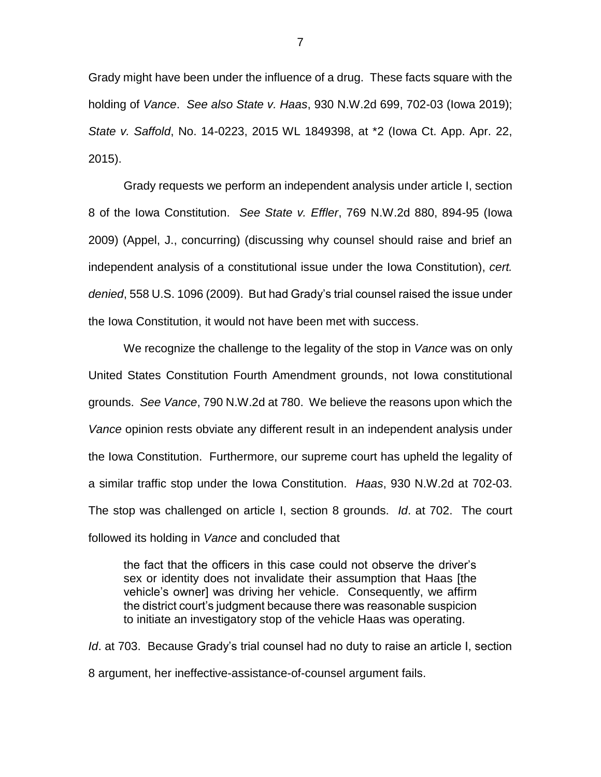Grady might have been under the influence of a drug. These facts square with the holding of *Vance*. *See also State v. Haas*, 930 N.W.2d 699, 702-03 (Iowa 2019); *State v. Saffold*, No. 14-0223, 2015 WL 1849398, at \*2 (Iowa Ct. App. Apr. 22, 2015).

Grady requests we perform an independent analysis under article I, section 8 of the Iowa Constitution. *See State v. Effler*, 769 N.W.2d 880, 894-95 (Iowa 2009) (Appel, J., concurring) (discussing why counsel should raise and brief an independent analysis of a constitutional issue under the Iowa Constitution), *cert. denied*, 558 U.S. 1096 (2009). But had Grady's trial counsel raised the issue under the Iowa Constitution, it would not have been met with success.

We recognize the challenge to the legality of the stop in *Vance* was on only United States Constitution Fourth Amendment grounds, not Iowa constitutional grounds. *See Vance*, 790 N.W.2d at 780. We believe the reasons upon which the *Vance* opinion rests obviate any different result in an independent analysis under the Iowa Constitution. Furthermore, our supreme court has upheld the legality of a similar traffic stop under the Iowa Constitution. *Haas*, 930 N.W.2d at 702-03. The stop was challenged on article I, section 8 grounds. *Id*. at 702. The court followed its holding in *Vance* and concluded that

the fact that the officers in this case could not observe the driver's sex or identity does not invalidate their assumption that Haas [the vehicle's owner] was driving her vehicle. Consequently, we affirm the district court's judgment because there was reasonable suspicion to initiate an investigatory stop of the vehicle Haas was operating.

*Id*. at 703. Because Grady's trial counsel had no duty to raise an article I, section 8 argument, her ineffective-assistance-of-counsel argument fails.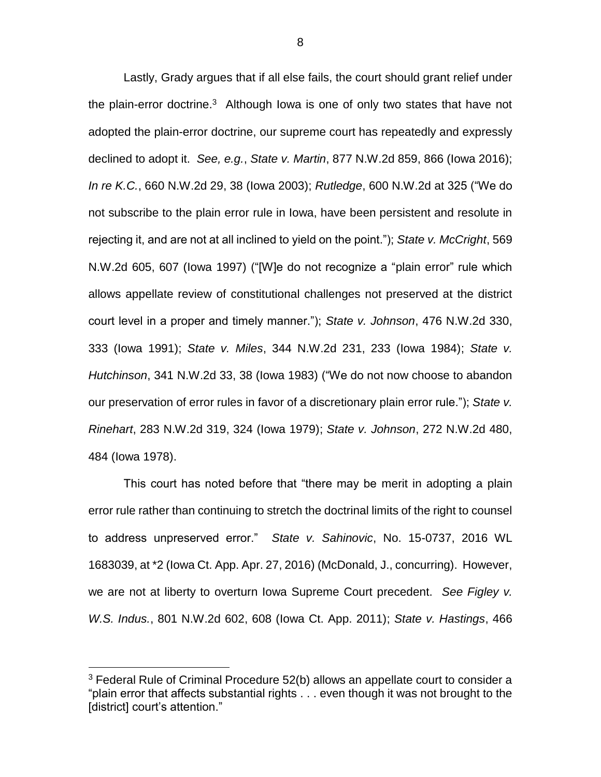Lastly, Grady argues that if all else fails, the court should grant relief under the plain-error doctrine.<sup>3</sup> Although Iowa is one of only two states that have not adopted the plain-error doctrine, our supreme court has repeatedly and expressly declined to adopt it. *See, e.g.*, *State v. Martin*, 877 N.W.2d 859, 866 (Iowa 2016); *In re K.C.*, 660 N.W.2d 29, 38 (Iowa 2003); *Rutledge*, 600 N.W.2d at 325 ("We do not subscribe to the plain error rule in Iowa, have been persistent and resolute in rejecting it, and are not at all inclined to yield on the point."); *State v. McCright*, 569 N.W.2d 605, 607 (Iowa 1997) ("[W]e do not recognize a "plain error" rule which allows appellate review of constitutional challenges not preserved at the district court level in a proper and timely manner."); *State v. Johnson*, 476 N.W.2d 330, 333 (Iowa 1991); *State v. Miles*, 344 N.W.2d 231, 233 (Iowa 1984); *State v. Hutchinson*, 341 N.W.2d 33, 38 (Iowa 1983) ("We do not now choose to abandon our preservation of error rules in favor of a discretionary plain error rule."); *State v. Rinehart*, 283 N.W.2d 319, 324 (Iowa 1979); *State v. Johnson*, 272 N.W.2d 480, 484 (Iowa 1978).

This court has noted before that "there may be merit in adopting a plain error rule rather than continuing to stretch the doctrinal limits of the right to counsel to address unpreserved error." *State v. Sahinovic*, No. 15-0737, 2016 WL 1683039, at \*2 (Iowa Ct. App. Apr. 27, 2016) (McDonald, J., concurring). However, we are not at liberty to overturn Iowa Supreme Court precedent. *See Figley v. W.S. Indus.*, 801 N.W.2d 602, 608 (Iowa Ct. App. 2011); *State v. Hastings*, 466

 $\overline{a}$ 

 $3$  Federal Rule of Criminal Procedure 52(b) allows an appellate court to consider a "plain error that affects substantial rights . . . even though it was not brought to the [district] court's attention."